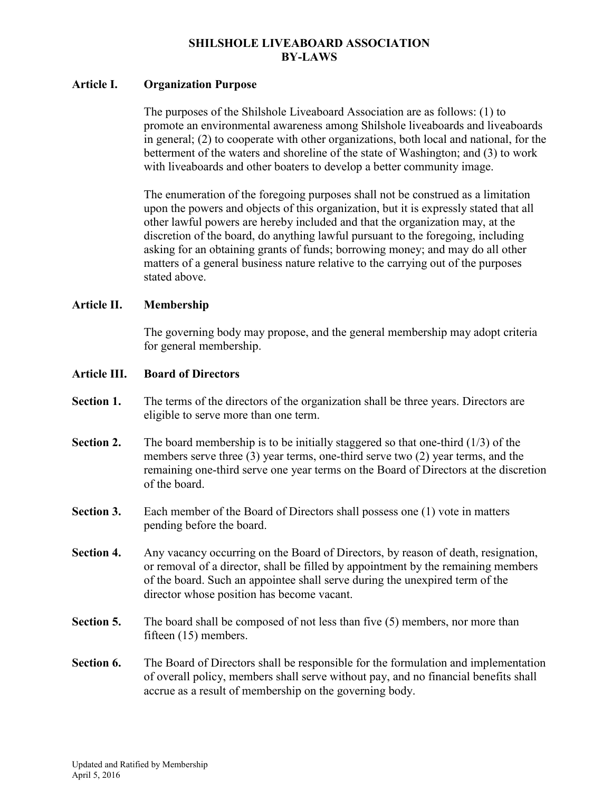## **SHILSHOLE LIVEABOARD ASSOCIATION BY-LAWS**

## **Article I. Organization Purpose**

 The purposes of the Shilshole Liveaboard Association are as follows: (1) to promote an environmental awareness among Shilshole liveaboards and liveaboards in general; (2) to cooperate with other organizations, both local and national, for the betterment of the waters and shoreline of the state of Washington; and (3) to work with liveaboards and other boaters to develop a better community image.

 The enumeration of the foregoing purposes shall not be construed as a limitation upon the powers and objects of this organization, but it is expressly stated that all other lawful powers are hereby included and that the organization may, at the discretion of the board, do anything lawful pursuant to the foregoing, including asking for an obtaining grants of funds; borrowing money; and may do all other matters of a general business nature relative to the carrying out of the purposes stated above.

### **Article II. Membership**

 The governing body may propose, and the general membership may adopt criteria for general membership.

### **Article III. Board of Directors**

- Section 1. The terms of the directors of the organization shall be three years. Directors are eligible to serve more than one term.
- **Section 2.** The board membership is to be initially staggered so that one-third (1/3) of the members serve three (3) year terms, one-third serve two (2) year terms, and the remaining one-third serve one year terms on the Board of Directors at the discretion of the board.
- **Section 3.** Each member of the Board of Directors shall possess one (1) vote in matters pending before the board.
- **Section 4.** Any vacancy occurring on the Board of Directors, by reason of death, resignation, or removal of a director, shall be filled by appointment by the remaining members of the board. Such an appointee shall serve during the unexpired term of the director whose position has become vacant.
- **Section 5.** The board shall be composed of not less than five (5) members, nor more than fifteen (15) members.
- **Section 6.** The Board of Directors shall be responsible for the formulation and implementation of overall policy, members shall serve without pay, and no financial benefits shall accrue as a result of membership on the governing body.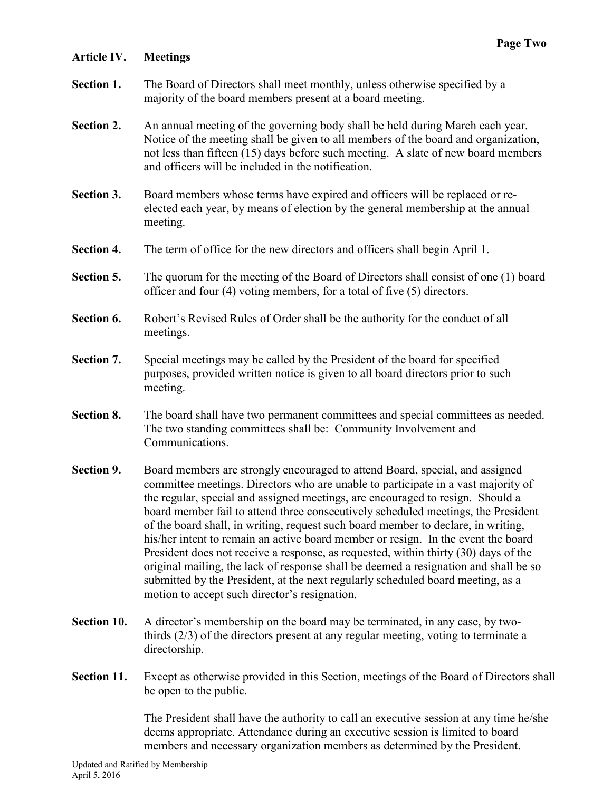# **Article IV. Meetings**

- **Section 1.** The Board of Directors shall meet monthly, unless otherwise specified by a majority of the board members present at a board meeting.
- **Section 2.** An annual meeting of the governing body shall be held during March each year. Notice of the meeting shall be given to all members of the board and organization, not less than fifteen (15) days before such meeting. A slate of new board members and officers will be included in the notification.
- **Section 3.** Board members whose terms have expired and officers will be replaced or reelected each year, by means of election by the general membership at the annual meeting.
- **Section 4.** The term of office for the new directors and officers shall begin April 1.
- **Section 5.** The quorum for the meeting of the Board of Directors shall consist of one (1) board officer and four (4) voting members, for a total of five (5) directors.
- **Section 6.** Robert's Revised Rules of Order shall be the authority for the conduct of all meetings.
- **Section 7.** Special meetings may be called by the President of the board for specified purposes, provided written notice is given to all board directors prior to such meeting.
- **Section 8.** The board shall have two permanent committees and special committees as needed. The two standing committees shall be: Community Involvement and Communications.
- **Section 9.** Board members are strongly encouraged to attend Board, special, and assigned committee meetings. Directors who are unable to participate in a vast majority of the regular, special and assigned meetings, are encouraged to resign. Should a board member fail to attend three consecutively scheduled meetings, the President of the board shall, in writing, request such board member to declare, in writing, his/her intent to remain an active board member or resign. In the event the board President does not receive a response, as requested, within thirty (30) days of the original mailing, the lack of response shall be deemed a resignation and shall be so submitted by the President, at the next regularly scheduled board meeting, as a motion to accept such director's resignation.
- **Section 10.** A director's membership on the board may be terminated, in any case, by twothirds (2/3) of the directors present at any regular meeting, voting to terminate a directorship.
- **Section 11.** Except as otherwise provided in this Section, meetings of the Board of Directors shall be open to the public.

 The President shall have the authority to call an executive session at any time he/she deems appropriate. Attendance during an executive session is limited to board members and necessary organization members as determined by the President.